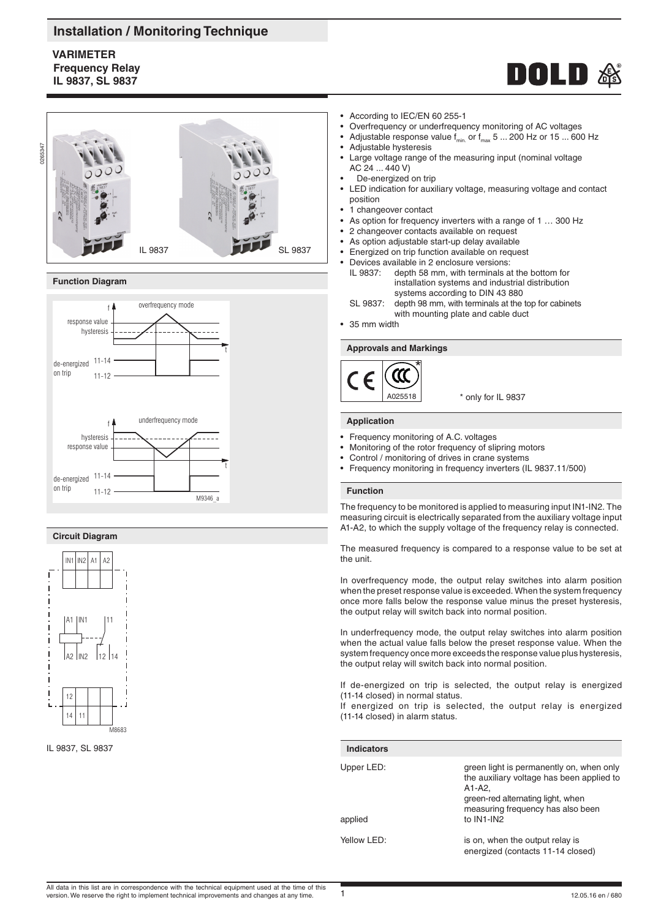# **Installation / Monitoring Technique**

# **VARIMETER Frequency Relay IL 9837, SL 9837**





### **Function Diagram**



### **Circuit Diagram**



IL 9837, SL 9837

- According to IEC/EN 60 255-1
- Overfrequency or underfrequency monitoring of AC voltages
- Adjustable response value  $f_{\text{min}}$  or  $f_{\text{max}}$  5 ... 200 Hz or 15 ... 600 Hz
- 
- Adjustable hysteresis • Large voltage range of the measuring input (nominal voltage
- AC 24 ... 440 V) De-energized on trip
- 
- LED indication for auxiliary voltage, measuring voltage and contact position
- .<br>1 changeover contact
- As option for frequency inverters with a range of 1 ... 300 Hz
- 2 changeover contacts available on request
- As option adjustable start-up delay available
- Energized on trip function available on request
- Devices available in 2 enclosure versions: IL 9837: depth 58 mm, with terminals at the bottom for installation systems and industrial distribution systems according to DIN 43 880<br>SL 9837: depth 98 mm, with terminals at the
- depth 98 mm, with terminals at the top for cabinets with mounting plate and cable duct
- 35 mm width

### **Approvals and Markings**



\* only for IL 9837

### **Application**

- Frequency monitoring of A.C. voltages
- Monitoring of the rotor frequency of slipring motors
- Control / monitoring of drives in crane systems
- Frequency monitoring in frequency inverters (IL 9837.11/500)

#### **Function**

The frequency to be monitored is applied to measuring input IN1-IN2. The measuring circuit is electrically separated from the auxiliary voltage input A1-A2, to which the supply voltage of the frequency relay is connected.

The measured frequency is compared to a response value to be set at the unit.

In overfrequency mode, the output relay switches into alarm position when the preset response value is exceeded. When the system frequency once more falls below the response value minus the preset hysteresis, the output relay will switch back into normal position.

In underfrequency mode, the output relay switches into alarm position when the actual value falls below the preset response value. When the system frequency once more exceeds the response value plus hysteresis, the output relay will switch back into normal position.

If de-energized on trip is selected, the output relay is energized (11-14 closed) in normal status.

If energized on trip is selected, the output relay is energized (11-14 closed) in alarm status.

| <b>Indicators</b>     |                                                                                                                                                                                           |
|-----------------------|-------------------------------------------------------------------------------------------------------------------------------------------------------------------------------------------|
| Upper LED:<br>applied | green light is permanently on, when only<br>the auxiliary voltage has been applied to<br>$A1-A2.$<br>green-red alternating light, when<br>measuring frequency has also been<br>to IN1-IN2 |
| Yellow LED:           | is on, when the output relay is<br>energized (contacts 11-14 closed)                                                                                                                      |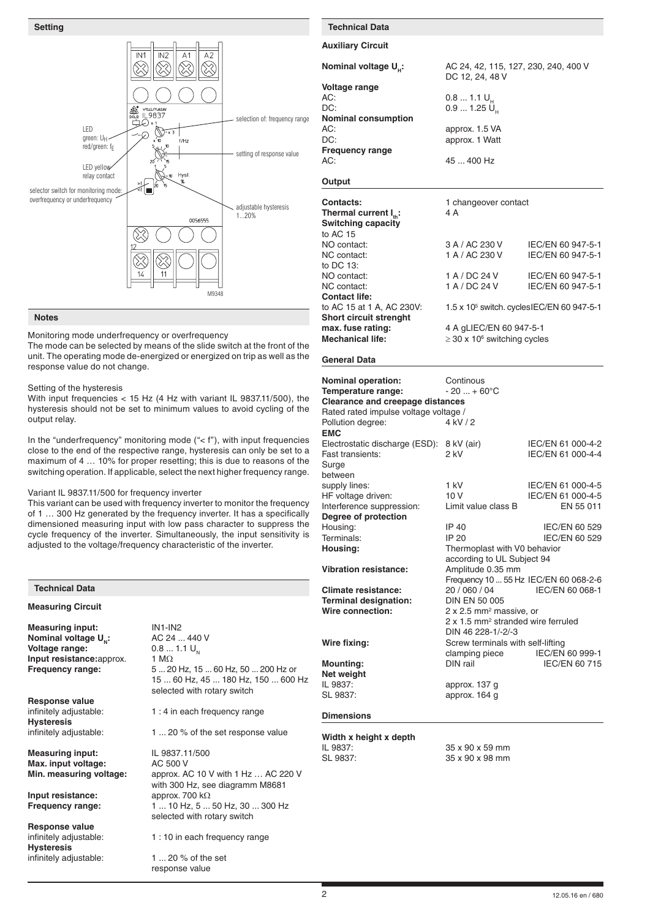

## **Notes**

Monitoring mode underfrequency or overfrequency

The mode can be selected by means of the slide switch at the front of the unit. The operating mode de-energized or energized on trip as well as the response value do not change.

### Setting of the hysteresis

With input frequencies < 15 Hz (4 Hz with variant IL 9837.11/500), the hysteresis should not be set to minimum values to avoid cycling of the output relay.

In the "underfrequency" monitoring mode ("< f"), with input frequencies close to the end of the respective range, hysteresis can only be set to a maximum of 4 … 10% for proper resetting; this is due to reasons of the switching operation. If applicable, select the next higher frequency range.

#### Variant IL 9837.11/500 for frequency inverter

This variant can be used with frequency inverter to monitor the frequency of 1 … 300 Hz generated by the frequency inverter. It has a specifically dimensioned measuring input with low pass character to suppress the cycle frequency of the inverter. Simultaneously, the input sensitivity is adjusted to the voltage/frequency characteristic of the inverter.

| <b>Technical Data</b>                                                                                                                                                 |                                                                                                                                                                                                                                  | C                                |
|-----------------------------------------------------------------------------------------------------------------------------------------------------------------------|----------------------------------------------------------------------------------------------------------------------------------------------------------------------------------------------------------------------------------|----------------------------------|
| <b>Measuring Circuit</b>                                                                                                                                              |                                                                                                                                                                                                                                  | T<br>V                           |
| <b>Measuring input:</b><br>Nominal voltage U <sub>N</sub> :<br>Voltage range:<br>Input resistance: approx.<br>Frequency range:                                        | $IN1$ - $IN2$<br>AC 24  440 V<br>$0.81.1 U_{N}$<br>1 M $\Omega$<br>5  20 Hz, 15  60 Hz, 50  200 Hz or<br>15  60 Hz, 45  180 Hz, 150  600 Hz<br>selected with rotary switch                                                       | V<br>N<br>N<br>$\mathsf{I}$<br>S |
| <b>Response value</b><br>infinitely adjustable:<br><b>Hysteresis</b><br>infinitely adjustable:                                                                        | 1:4 in each frequency range<br>1  20 % of the set response value                                                                                                                                                                 | E<br>V                           |
| <b>Measuring input:</b><br>Max. input voltage:<br>Min. measuring voltage:<br>Input resistance:<br><b>Frequency range:</b><br>Response value<br>infinitely adjustable: | IL 9837.11/500<br>AC 500 V<br>approx. AC 10 V with 1 Hz  AC 220 V<br>with 300 Hz, see diagramm M8681<br>approx. 700 $k\Omega$<br>1  10 Hz, 5  50 Hz, 30  300 Hz<br>selected with rotary switch<br>1 : 10 in each frequency range | Ш<br>S                           |
| <b>Hysteresis</b><br>infinitely adjustable:                                                                                                                           | 1 $\dots$ 20 % of the set<br>response value                                                                                                                                                                                      |                                  |

# **Setting Technical Data**

#### **Auxiliary Circuit**

| Nominal voltage U.:        | AC 24, 42, 115, 127, 230, 240, 400 V<br>DC 12, 24, 48 V |
|----------------------------|---------------------------------------------------------|
| Voltage range              |                                                         |
| AC:                        | $0.81.1 U_{\mu}$                                        |
| DC:                        | 0.91.25 U                                               |
| <b>Nominal consumption</b> |                                                         |
| AC:                        | approx. 1.5 VA                                          |
| DC:                        | approx. 1 Watt                                          |
| <b>Frequency range</b>     |                                                         |
| AC:                        | 45  400 Hz                                              |
|                            |                                                         |

### **Output**

| <b>Contacts:</b>              | 1 changeover contact                         |                                                        |
|-------------------------------|----------------------------------------------|--------------------------------------------------------|
| Thermal current $I_{\mu}$ :   | 4 A                                          |                                                        |
| <b>Switching capacity</b>     |                                              |                                                        |
| to AC 15                      |                                              |                                                        |
| NO contact:                   | 3 A / AC 230 V                               | IEC/EN 60 947-5-1                                      |
| NC contact:                   | 1 A / AC 230 V                               | IEC/EN 60 947-5-1                                      |
| to DC 13:                     |                                              |                                                        |
| NO contact:                   | 1 A / DC 24 V                                | IEC/EN 60 947-5-1                                      |
| NC contact:                   | 1 A / DC 24 V                                | IEC/EN 60 947-5-1                                      |
| <b>Contact life:</b>          |                                              |                                                        |
| to AC 15 at 1 A, AC 230V:     |                                              | 1.5 x 10 <sup>5</sup> switch. cycles IEC/EN 60 947-5-1 |
| <b>Short circuit strenght</b> |                                              |                                                        |
| max. fuse rating:             | 4 A gLIEC/EN 60 947-5-1                      |                                                        |
| <b>Mechanical life:</b>       | $\geq$ 30 x 10 <sup>6</sup> switching cycles |                                                        |

### **General Data**

| <b>Nominal operation:</b><br>Temperature range:<br><b>Clearance and creepage distances</b><br>Rated rated impulse voltage voltage /<br>Pollution degree:<br><b>EMC</b> | Continous<br>$-20  + 60^{\circ}C$<br>4 kV/2                                                                 |                                                     |
|------------------------------------------------------------------------------------------------------------------------------------------------------------------------|-------------------------------------------------------------------------------------------------------------|-----------------------------------------------------|
| Electrostatic discharge (ESD):<br>Fast transients:<br>Surge                                                                                                            | 8 kV (air)<br>2 kV                                                                                          | IEC/EN 61 000-4-2<br>IEC/EN 61 000-4-4              |
| between<br>supply lines:<br>HF voltage driven:<br>Interference suppression:                                                                                            | $1$ kV<br>10V<br>Limit value class B                                                                        | IEC/EN 61 000-4-5<br>IEC/EN 61 000-4-5<br>EN 55 011 |
| Degree of protection                                                                                                                                                   |                                                                                                             |                                                     |
| Housing:                                                                                                                                                               | IP 40                                                                                                       | IEC/EN 60 529                                       |
| Terminals:                                                                                                                                                             | IP 20                                                                                                       | IEC/EN 60 529                                       |
| Housing:                                                                                                                                                               | Thermoplast with V0 behavior<br>according to UL Subject 94                                                  |                                                     |
| <b>Vibration resistance:</b>                                                                                                                                           | Amplitude 0.35 mm                                                                                           |                                                     |
| Climate resistance:                                                                                                                                                    | Frequency 10  55 Hz IEC/EN 60 068-2-6<br>20 / 060 / 04                                                      | IEC/EN 60 068-1                                     |
| <b>Terminal designation:</b>                                                                                                                                           | DIN EN 50 005                                                                                               |                                                     |
| Wire connection:                                                                                                                                                       | 2 x 2.5 mm <sup>2</sup> massive, or<br>2 x 1.5 mm <sup>2</sup> stranded wire ferruled<br>DIN 46 228-1/-2/-3 |                                                     |
| Wire fixing:                                                                                                                                                           | Screw terminals with self-lifting                                                                           |                                                     |
|                                                                                                                                                                        | clamping piece                                                                                              | IEC/EN 60 999-1                                     |
| <b>Mounting:</b><br>Net weight                                                                                                                                         | DIN rail                                                                                                    | IEC/EN 60 715                                       |
| IL 9837:                                                                                                                                                               | approx. 137 g                                                                                               |                                                     |
| SL 9837:                                                                                                                                                               | approx. 164 g                                                                                               |                                                     |
| <b>Dimensions</b>                                                                                                                                                      |                                                                                                             |                                                     |
| Width x height x depth                                                                                                                                                 |                                                                                                             |                                                     |
| IL 9837:                                                                                                                                                               | 35 x 90 x 59 mm                                                                                             |                                                     |
| SL 9837:                                                                                                                                                               | 35 x 90 x 98 mm                                                                                             |                                                     |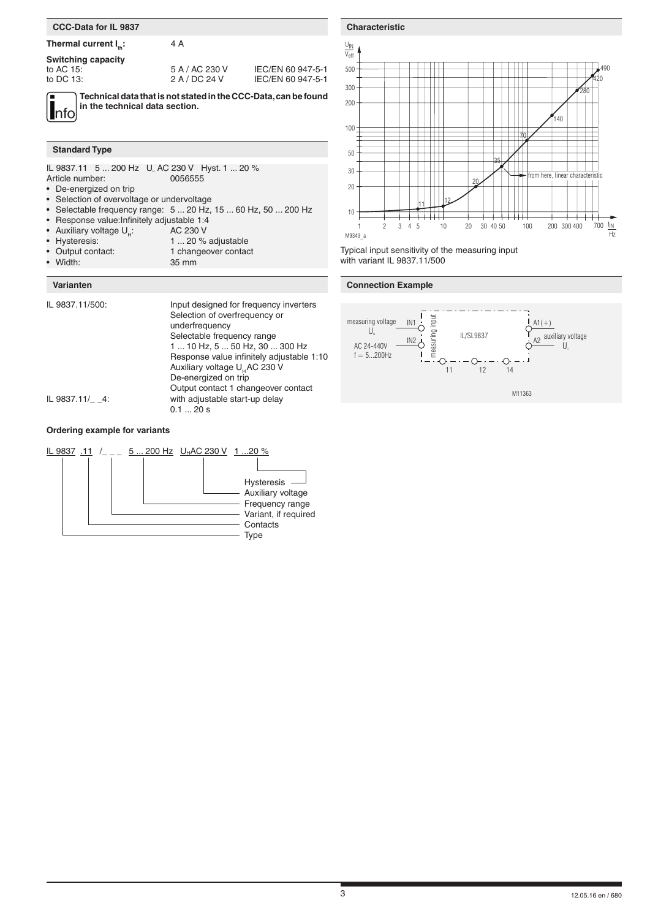## **CCC-Data for IL 9837**

# **Thermal current I<sub>n</sub>: 4 A**

**Switching capacity**

to AC 15: 5 A / AC 230 V IEC/EN 60 947-5-1<br>to DC 13: 2 A / DC 24 V IEC/EN 60 947-5-1 IEC/EN 60 947-5-1

**Technical data that is not stated in the CCC-Data, can be found** 

nfo **in the technical data section.**

#### **Standard Type**

|                 |         | IL 9837.11 5  200 Hz U AC 230 V Hyst. 1  20 % |
|-----------------|---------|-----------------------------------------------|
| Article number: | 0056555 |                                               |
|                 |         |                                               |

- De-energized on trip<br>• Selection of overvolta
- Selection of overvoltage or undervoltage
- Selectable frequency range:  $5 \dots 20$  Hz,  $15 \dots 60$  Hz,  $50 \dots 200$  Hz<br>• Besponse value Infinitely adjustable 1:4
- Response value: Infinitely adjustable 1:4<br>• Auxiliary voltage  $U_{\mu}$ : AC 230 V
- Auxiliary voltage  $U_H$ :<br>• Hysteresis:
- Hysteresis: 1 ... 20 % adjustable<br>• Output contact: 1 changeover contaction
- Output contact: 1 changeover contact<br>• Width: 35 mm
- 35 mm

### **Varianten**

| IL 9837.11/500: | Input designed for frequency inverters<br>Selection of overfrequency or<br>underfrequency<br>Selectable frequency range<br>1  10 Hz, 5  50 Hz, 30  300 Hz<br>Response value infinitely adjustable 1:10<br>Auxiliary voltage U <sub>H</sub> AC 230 V<br>De-energized on trip<br>Output contact 1 changeover contact |
|-----------------|--------------------------------------------------------------------------------------------------------------------------------------------------------------------------------------------------------------------------------------------------------------------------------------------------------------------|
| IL 9837.11/ 4:  | with adjustable start-up delay<br>0.120 s                                                                                                                                                                                                                                                                          |

# **Ordering example for variants**



**Characteristic** $\underline{\mathsf{U}}$ IN Veff 500 490 420 300 280 200 .<br>140 100 716 50  $\blacksquare$ 35  $\Box$ 30 fom here, linear ch 20 20 <sup>11</sup> إيران 10 2 3 4 5 10 20 30 40 50 100 200 300 400 700  $\frac{f_{\text{IN}}}{f_{\text{IN}}}$ 10 20 30 40 50 100 M9349\_a H<sub>z</sub>

Typical input sensitivity of the measuring input with variant IL 9837.11/500

## **Connection Example**